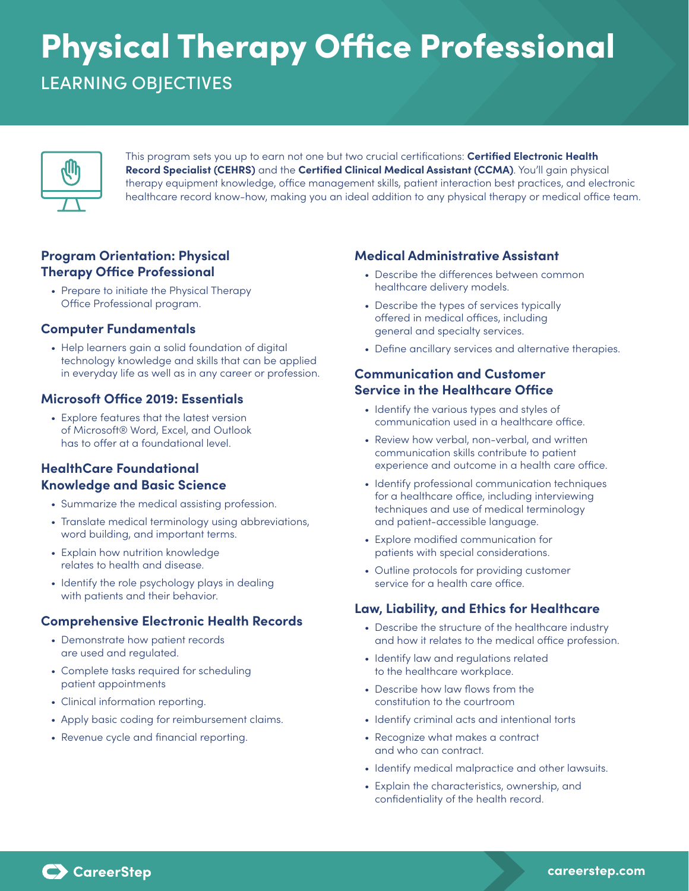# Physical Therapy Office Professional LEARNING OBJECTIVES



This program sets you up to earn not one but two crucial certifications: **Certified Electronic Health Record Specialist (CEHRS)** and the **Certified Clinical Medical Assistant (CCMA)**. You'll gain physical therapy equipment knowledge, office management skills, patient interaction best practices, and electronic healthcare record know-how, making you an ideal addition to any physical therapy or medical office team.

## **Program Orientation: Physical Therapy Office Professional**

• Prepare to initiate the Physical Therapy Office Professional program.

### **Computer Fundamentals**

• Help learners gain a solid foundation of digital technology knowledge and skills that can be applied in everyday life as well as in any career or profession.

### **Microsoft Office 2019: Essentials**

• Explore features that the latest version of Microsoft® Word, Excel, and Outlook has to offer at a foundational level.

## **HealthCare Foundational Knowledge and Basic Science**

- Summarize the medical assisting profession.
- Translate medical terminology using abbreviations, word building, and important terms.
- Explain how nutrition knowledge relates to health and disease.
- Identify the role psychology plays in dealing with patients and their behavior.

### **Comprehensive Electronic Health Records**

- Demonstrate how patient records are used and regulated.
- Complete tasks required for scheduling patient appointments
- Clinical information reporting.
- Apply basic coding for reimbursement claims.
- Revenue cycle and financial reporting.

## **Medical Administrative Assistant**

- Describe the differences between common healthcare delivery models.
- Describe the types of services typically offered in medical offices, including general and specialty services.
- Define ancillary services and alternative therapies.

## **Communication and Customer Service in the Healthcare Office**

- Identify the various types and styles of communication used in a healthcare office.
- Review how verbal, non-verbal, and written communication skills contribute to patient experience and outcome in a health care office.
- Identify professional communication techniques for a healthcare office, including interviewing techniques and use of medical terminology and patient-accessible language.
- Explore modified communication for patients with special considerations.
- Outline protocols for providing customer service for a health care office.

### **Law, Liability, and Ethics for Healthcare**

- Describe the structure of the healthcare industry and how it relates to the medical office profession.
- Identify law and regulations related to the healthcare workplace.
- Describe how law flows from the constitution to the courtroom
- Identify criminal acts and intentional torts
- Recognize what makes a contract and who can contract.
- Identify medical malpractice and other lawsuits.
- Explain the characteristics, ownership, and confidentiality of the health record.